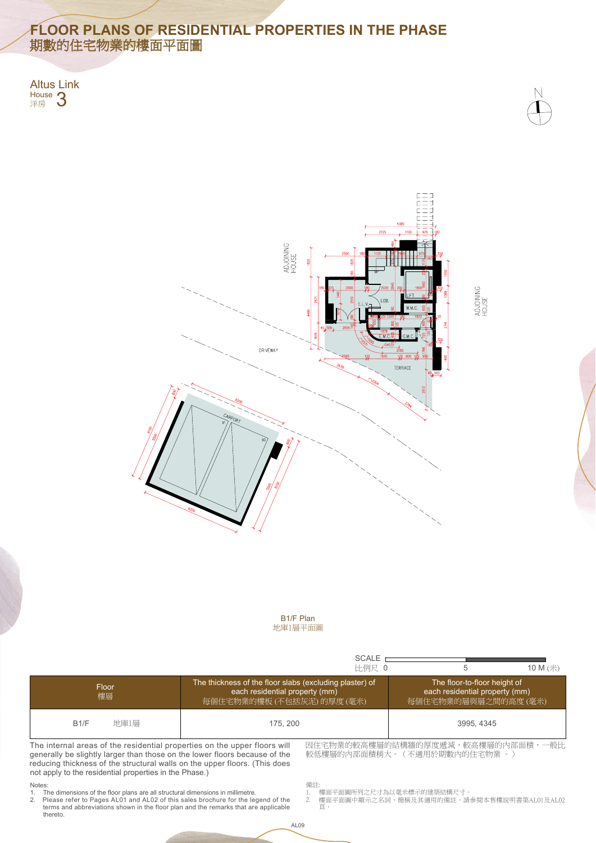

### Notes:

- 樓面平面圖所列之尺寸為以毫米標示的建築結構尺寸。
- 2. 頁。 Please refer to Pages AL01 and AL02 of this sales brochure for the legend of the 2. 樓面平面圖中顯示之名詞、簡稱及其適用的備註,請參閱本售樓說明書第AL01及AL02

# **FLOOR PLANS OF RESIDENTIAL PROPERTIES IN THE PHASE** 期數的住宅物業的樓面平面圖

Altus Link House **3** 







- 1. The dimensions of the floor plans are all structural dimensions in millimetre.
- 2. Please refer to Pages AL01 and AL02 of this sales brochure for the legend of the thereto. terms and abbreviations shown in the floor plan and the remarks that are applicable

||較低悽層的||外部面槓柄大。(个週用於期數||外||比毛物業 。*)* 

generally be slightly larger than those on the lower floors because of the reducing thickness of the structural walls on the upper floors. (This does not apply to the residential properties in the Phase.)

|                                                                                                                                                                                                                                   |      |                                                                                                                         | <b>SCALE</b><br>比例尺 0 | b                                                                                      | 10 M (米) |  |
|-----------------------------------------------------------------------------------------------------------------------------------------------------------------------------------------------------------------------------------|------|-------------------------------------------------------------------------------------------------------------------------|-----------------------|----------------------------------------------------------------------------------------|----------|--|
| Floor<br>樓層                                                                                                                                                                                                                       |      | The thickness of the floor slabs (excluding plaster) of<br>each residential property (mm)<br>每個住宅物業的樓板 (不包括灰泥) 的厚度 (毫米) |                       | The floor-to-floor height of<br>each residential property (mm)<br>每個住宅物業的層與層之間的高度 (毫米) |          |  |
| B1/F                                                                                                                                                                                                                              | 地庫1層 | 175, 200                                                                                                                |                       | 3995, 4345                                                                             |          |  |
| 因住宅物業的較高樓層的結構牆的厚度遞減,較高樓層的內部面積,一般比<br>The internal areas of the residential properties on the upper floors will<br>   齢低槵區的內部面積稍大。 ( 不適用於期數內的住宅物業 。)<br>generally be slightly larger than those on the lower floors because of the |      |                                                                                                                         |                       |                                                                                        |          |  |

備註:

1.

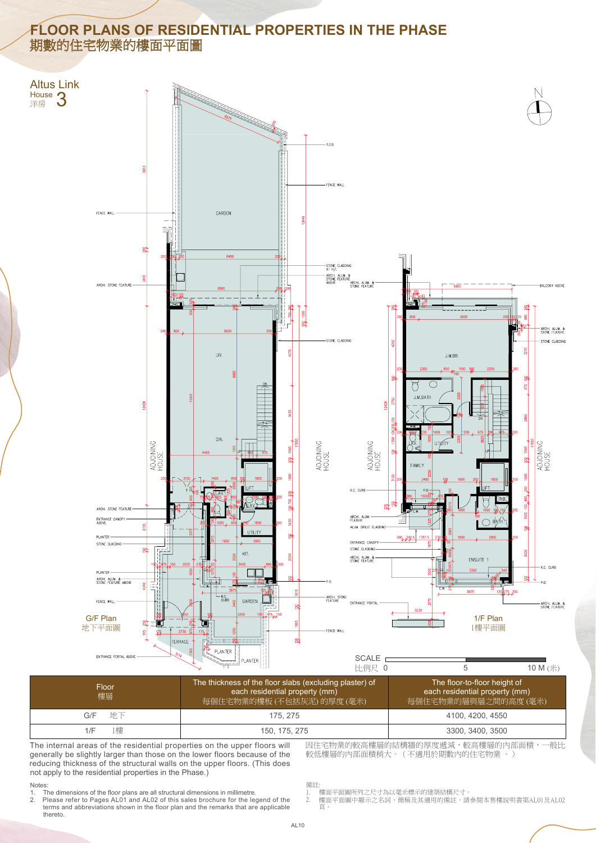因住宅物業的較高樓層的結構牆的厚度遞減,較高樓層的內部面積,一般比 較低樓層的內部面積稍大。(不適用於期數內的住宅物業 。)

#### Notes:

## **FLOOR PLANS OF RESIDENTIAL PROPERTIES IN THE PHASE** 期數的住宅物業的樓面平面圖

- 1. The dimensions of the floor plans are all structural dimensions in millimetre.
- thereto. terms and abbreviations shown in the floor plan and the remarks that are applicable

The internal areas of the residential properties on the upper floors will generally be slightly larger than those on the lower floors because of the reducing thickness of the structural walls on the upper floors. (This does not apply to the residential properties in the Phase.)

| Floor.<br>樓層 | The thickness of the floor slabs (excluding plaster) of<br>each residential property (mm)<br>每個住宅物業的樓板 (不包括灰泥) 的厚度 (毫米) | The floor-to-floor height of<br>each residential property (mm)<br>每個住宅物業的層與層之間的高度(毫米) |
|--------------|-------------------------------------------------------------------------------------------------------------------------|---------------------------------------------------------------------------------------|
| 地下<br>G/F    | 175, 275                                                                                                                | 4100, 4200, 4550                                                                      |
| 1樓<br>1/F    | 150, 175, 275                                                                                                           | 3300, 3400, 3500                                                                      |

備註:

- 1. 樓面平面圖所列之尺寸為以毫米標示的建築結構尺寸。
- 2. Please refer to Pages AL01 and AL02 of this sales brochure for the legend of the 2. 樓面平面圖中顯示之名詞丶簡稱及其適用的備註,請參閱本售樓說明書第AL01及AL02 2. 頁。



AL10